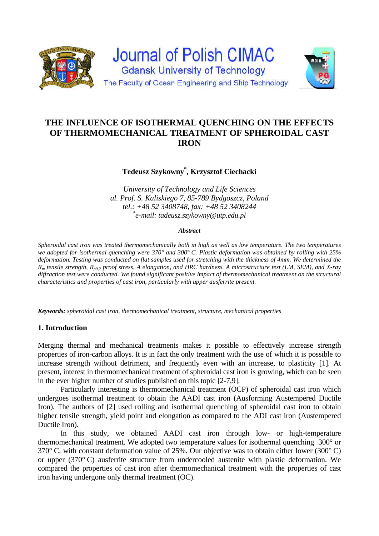

# **THE INFLUENCE OF ISOTHERMAL QUENCHING ON THE EFFECTS OF THERMOMECHANICAL TREATMENT OF SPHEROIDAL CAST IRON**

## **Tedeusz Szykowny\* , Krzysztof Ciechacki**

*University of Technology and Life Sciences al. Prof. S. Kaliskiego 7, 85-789 Bydgoszcz, Poland tel.: +48 52 3408748, fax: +48 52 3408244 \* e-mail: tadeusz.szykowny@utp.edu.pl*

#### *Abstract*

*Spheroidal cast iron was treated thermomechanically both in high as well as low temperature. The two temperatures we adopted for isothermal quenching were 370° and 300° C. Plastic deformation was obtained by rolling with 25% deformation. Testing was conducted on flat samples used for stretching with the thickness of 4mm. We determined the Rm tensile strength, Rp0,2 proof stress, A elongation, and HRC hardness. A microstructure test (LM, SEM), and X-ray diffraction test were conducted. We found significant positive impact of thermomechanical treatment on the structural characteristics and properties of cast iron, particularly with upper ausferrite present.* 

*Keywords: spheroidal cast iron, thermomechanical treatment, structure, mechanical properties* 

### **1. Introduction**

Merging thermal and mechanical treatments makes it possible to effectively increase strength properties of iron-carbon alloys. It is in fact the only treatment with the use of which it is possible to increase strength without detriment, and frequently even with an increase, to plasticity [1]. At present, interest in thermomechanical treatment of spheroidal cast iron is growing, which can be seen in the ever higher number of studies published on this topic [2-7,9].

 Particularly interesting is thermomechanical treatment (OCP) of spheroidal cast iron which undergoes isothermal treatment to obtain the AADI cast iron (Ausforming Austempered Ductile Iron). The authors of [2] used rolling and isothermal quenching of spheroidal cast iron to obtain higher tensile strength, yield point and elongation as compared to the ADI cast iron (Austempered Ductile Iron).

 In this study, we obtained AADI cast iron through low- or high-temperature thermomechanical treatment. We adopted two temperature values for isothermal quenching 300° or 370° C, with constant deformation value of 25%. Our objective was to obtain either lower (300° C) or upper (370° C) ausferrite structure from undercooled austenite with plastic deformation. We compared the properties of cast iron after thermomechanical treatment with the properties of cast iron having undergone only thermal treatment (OC).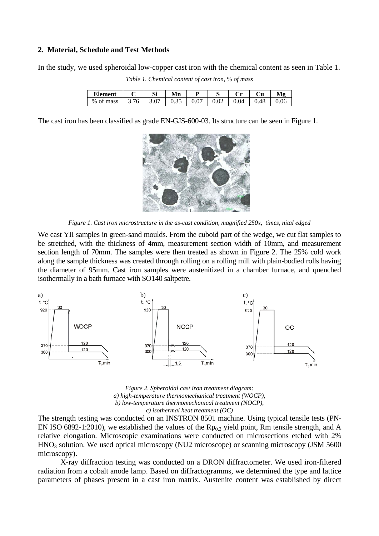#### **2. Material, Schedule and Test Methods**

In the study, we used spheroidal low-copper cast iron with the chemical content as seen in Table 1.

| <b>Element</b> |      | Si   | Mn   | D    |      | $\mathcal{L}_{\mathbf{m}}$ | Cu   | Мø   |
|----------------|------|------|------|------|------|----------------------------|------|------|
| % of mass      | 3.76 | 3.07 | 0.35 | 0.07 | 0.02 | 0.04                       | 0.48 | 0.06 |

*Table 1. Chemical content of cast iron, % of mass* 

The cast iron has been classified as grade EN-GJS-600-03. Its structure can be seen in Figure 1.



*Figure 1. Cast iron microstructure in the as-cast condition, magnified 250x, times, nital edged* 

We cast YII samples in green-sand moulds. From the cuboid part of the wedge, we cut flat samples to be stretched, with the thickness of 4mm, measurement section width of 10mm, and measurement section length of 70mm. The samples were then treated as shown in Figure 2. The 25% cold work along the sample thickness was created through rolling on a rolling mill with plain-bodied rolls having the diameter of 95mm. Cast iron samples were austenitized in a chamber furnace, and quenched isothermally in a bath furnace with SO140 saltpetre.



*Figure 2. Spheroidal cast iron treatment diagram: a) high-temperature thermomechanical treatment (WOCP), b) low-temperature thermomechanical treatment (NOCP), c) isothermal heat treatment (OC)* 

The strength testing was conducted on an INSTRON 8501 machine. Using typical tensile tests (PN-EN ISO 6892-1:2010), we established the values of the  $Rp_{0,2}$  yield point, Rm tensile strength, and A relative elongation. Microscopic examinations were conducted on microsections etched with 2% HNO3 solution. We used optical microscopy (NU2 microscope) or scanning microscopy (JSM 5600 microscopy).

 X-ray diffraction testing was conducted on a DRON diffractometer. We used iron-filtered radiation from a cobalt anode lamp. Based on diffractogramms, we determined the type and lattice parameters of phases present in a cast iron matrix. Austenite content was established by direct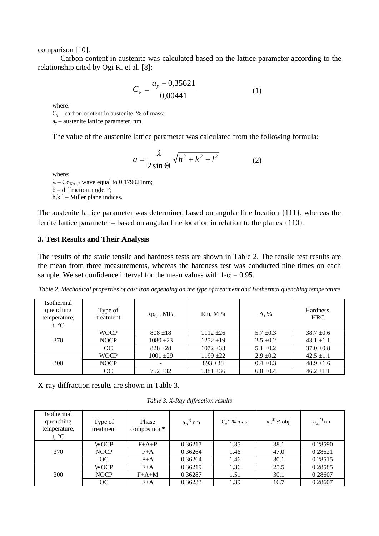comparison [10].

 Carbon content in austenite was calculated based on the lattice parameter according to the relationship cited by Ogi K. et al. [8]:

$$
C_{\gamma} = \frac{a_{\gamma} - 0.35621}{0.00441} \tag{1}
$$

where:

 $C_{\gamma}$  – carbon content in austenite, % of mass;

 $a<sub>v</sub>$  – austenite lattice parameter, nm.

The value of the austenite lattice parameter was calculated from the following formula:

$$
a = \frac{\lambda}{2\sin\Theta} \sqrt{h^2 + k^2 + l^2}
$$
 (2)

where:

 $\lambda - \text{Co}_{\text{K}\alpha1.2}$  wave equal to 0.179021nm;  $\theta$  – diffraction angle, °; h,k,l – Miller plane indices.

The austenite lattice parameter was determined based on angular line location {111}, whereas the ferrite lattice parameter – based on angular line location in relation to the planes {110}.

#### **3. Test Results and Their Analysis**

The results of the static tensile and hardness tests are shown in Table 2. The tensile test results are the mean from three measurements, whereas the hardness test was conducted nine times on each sample. We set confidence interval for the mean values with  $1-\alpha = 0.95$ .

| Isothermal<br>quenching<br>temperature,<br>t, $^{\circ}C$ | Type of<br>treatment | $Rp0.2$ , MPa     | Rm, MPa       | A, %          | Hardness,<br><b>HRC</b> |
|-----------------------------------------------------------|----------------------|-------------------|---------------|---------------|-------------------------|
| 370                                                       | <b>WOCP</b>          | $808 + 18$        | $1112 + 26$   | $5.7 \pm 0.3$ | $38.7 \pm 0.6$          |
|                                                           | <b>NOCP</b>          | $1080 \pm 23$     | $1252 \pm 19$ | $2.5 \pm 0.2$ | $43.1 \pm 1.1$          |
|                                                           | OC                   | $828 + 28$        | $1072 \pm 33$ | $5.1 \pm 0.2$ | $37.0 \pm 0.8$          |
| 300                                                       | <b>WOCP</b>          | $1001 + 29$       | $1199 + 22$   | $2.9 \pm 0.2$ | $42.5 \pm 1.1$          |
|                                                           | <b>NOCP</b>          | $\qquad \qquad -$ | $893 + 38$    | $0.4 \pm 0.3$ | $48.9 \pm 1.6$          |
|                                                           | OC                   | $752 + 32$        | $1381 \pm 36$ | $6.0 \pm 0.4$ | $46.2 \pm 1.1$          |

*Table 2. Mechanical properties of cast iron depending on the type of treatment and isothermal quenching temperature* 

X-ray diffraction results are shown in Table 3.

*Table 3. X-Ray diffraction results* 

| Isothermal<br>quenching<br>temperature,<br>t, $^{\circ}C$ | Type of<br>treatment | Phase<br>composition* | $a_{\gamma}^{(1)}$ nm | $C_{\nu}^{2)}$ % mas. | $v_{\gamma}^{3}$ % obj. | $a_{\alpha}^{4}$ nm |
|-----------------------------------------------------------|----------------------|-----------------------|-----------------------|-----------------------|-------------------------|---------------------|
| 370                                                       | <b>WOCP</b>          | $F+A+P$               | 0.36217               | 1.35                  | 38.1                    | 0.28590             |
|                                                           | <b>NOCP</b>          | $F+A$                 | 0.36264               | 1.46                  | 47.0                    | 0.28621             |
|                                                           | OC                   | $F+A$                 | 0.36264               | 1.46                  | 30.1                    | 0.28515             |
| 300                                                       | <b>WOCP</b>          | $F+A$                 | 0.36219               | 1.36                  | 25.5                    | 0.28585             |
|                                                           | <b>NOCP</b>          | $F+A+M$               | 0.36287               | 1.51                  | 30.1                    | 0.28607             |
|                                                           | OC                   | $F+A$                 | 0.36233               | 1.39                  | 16.7                    | 0.28607             |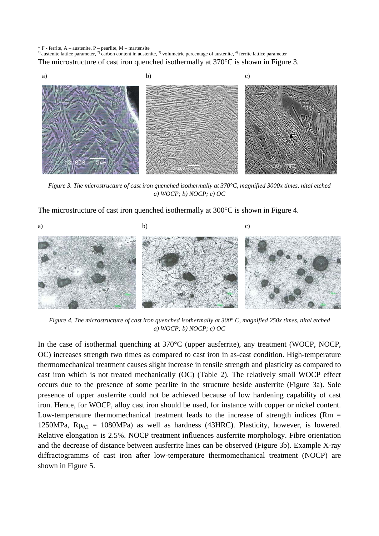$* F$  - ferrite, A – austenite, P – pearlite, M – martensite

 $\frac{1}{2}$  austenite lattice parameter,  $\frac{2}{2}$  carbon content in austenite,  $\frac{3}{2}$  volumetric percentage of austenite,  $\frac{4}{2}$  ferrite lattice parameter The microstructure of cast iron quenched isothermally at  $370^{\circ}$ C is shown in Figure 3.



*Figure 3. The microstructure of cast iron quenched isothermally at 370°C, magnified 3000x times, nital etched a) WOCP; b) NOCP; c) OC* 

The microstructure of cast iron quenched isothermally at  $300^{\circ}$ C is shown in Figure 4.



*Figure 4. The microstructure of cast iron quenched isothermally at 300° C, magnified 250x times, nital etched a) WOCP; b) NOCP; c) OC* 

In the case of isothermal quenching at 370°C (upper ausferrite), any treatment (WOCP, NOCP, OC) increases strength two times as compared to cast iron in as-cast condition. High-temperature thermomechanical treatment causes slight increase in tensile strength and plasticity as compared to cast iron which is not treated mechanically (OC) (Table 2). The relatively small WOCP effect occurs due to the presence of some pearlite in the structure beside ausferrite (Figure 3a). Sole presence of upper ausferrite could not be achieved because of low hardening capability of cast iron. Hence, for WOCP, alloy cast iron should be used, for instance with copper or nickel content. Low-temperature thermomechanical treatment leads to the increase of strength indices ( $Rm =$ 1250MPa,  $Rp_{0,2} = 1080MPa$  as well as hardness (43HRC). Plasticity, however, is lowered. Relative elongation is 2.5%. NOCP treatment influences ausferrite morphology. Fibre orientation and the decrease of distance between ausferrite lines can be observed (Figure 3b). Example X-ray diffractogramms of cast iron after low-temperature thermomechanical treatment (NOCP) are shown in Figure 5.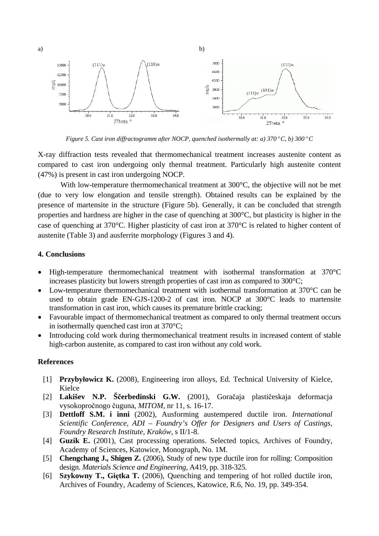

*Figure 5. Cast iron diffractogramm after NOCP, quenched isothermally at: a)*  $370^{\circ}$ C, b)  $300^{\circ}$ C

X-ray diffraction tests revealed that thermomechanical treatment increases austenite content as compared to cast iron undergoing only thermal treatment. Particularly high austenite content (47%) is present in cast iron undergoing NOCP.

With low-temperature thermomechanical treatment at 300<sup>o</sup>C, the objective will not be met (due to very low elongation and tensile strength). Obtained results can be explained by the presence of martensite in the structure (Figure 5b). Generally, it can be concluded that strength properties and hardness are higher in the case of quenching at 300°C, but plasticity is higher in the case of quenching at 370°C. Higher plasticity of cast iron at 370°C is related to higher content of austenite (Table 3) and ausferrite morphology (Figures 3 and 4).

### **4. Conclusions**

- High-temperature thermomechanical treatment with isothermal transformation at 370°C increases plasticity but lowers strength properties of cast iron as compared to 300°C;
- Low-temperature thermomechanical treatment with isothermal transformation at 370°C can be used to obtain grade EN-GJS-1200-2 of cast iron. NOCP at 300°C leads to martensite transformation in cast iron, which causes its premature brittle cracking;
- Favourable impact of thermomechanical treatment as compared to only thermal treatment occurs in isothermally quenched cast iron at 370°C;
- Introducing cold work during thermomechanical treatment results in increased content of stable high-carbon austenite, as compared to cast iron without any cold work.

## **References**

- [1] **Przybyłowicz K.** (2008), Engineering iron alloys, Ed. Technical University of Kielce, Kielce
- [2] **Lakišev N.P. Ščerbedinski G.W.** (2001), Goračaja plastičeskaja deformacja vysokopročnogo čuguna, *MITOM,* nr 11, s. 16-17.
- [3] **Dettloff S.M. i inni** (2002), Ausforming austempered ductile iron. *International Scientific Conference, ADI – Foundry's Offer for Designers and Users of Castings, Foundry Research Institute, Kraków,* s II/1-8.
- [4] **Guzik E.** (2001), Cast processing operations. Selected topics, Archives of Foundry, Academy of Sciences, Katowice, Monograph, No. 1M.
- [5] **Chengchang J., Shigen Z.** (2006), Study of new type ductile iron for rolling: Composition design. *Materials Science and Engineering*, A419, pp. 318-325.
- [6] **Szykowny T., Giętka T.** (2006), Quenching and tempering of hot rolled ductile iron, Archives of Foundry, Academy of Sciences, Katowice, R.6, No. 19, pp. 349-354.